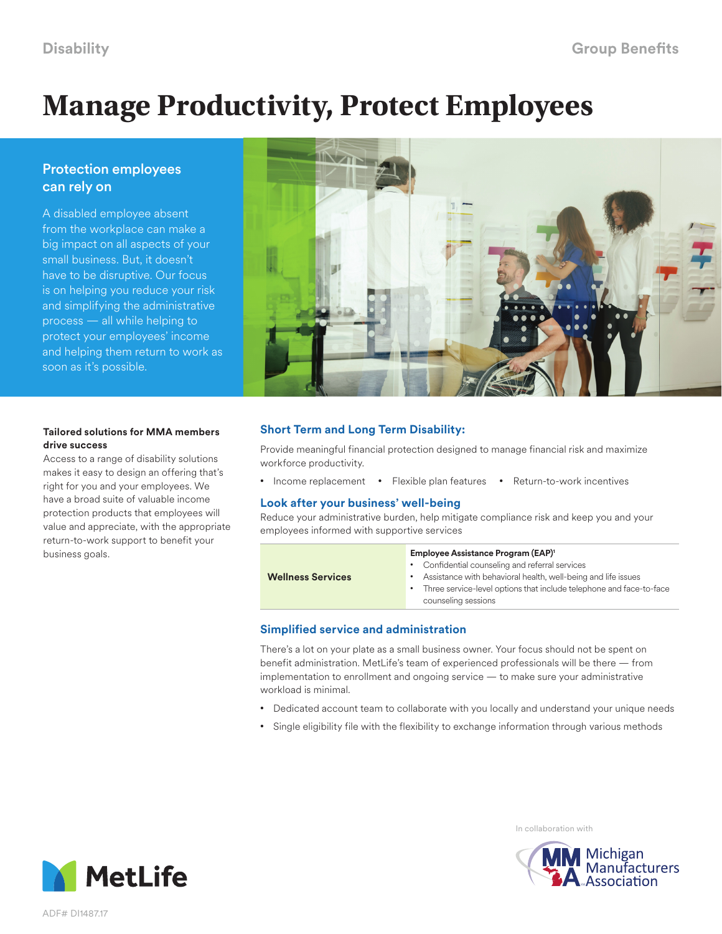# **Manage Productivity, Protect Employees**

# Protection employees can rely on

A disabled employee absent from the workplace can make a big impact on all aspects of your small business. But, it doesn't have to be disruptive. Our focus is on helping you reduce your risk and simplifying the administrative process — all while helping to protect your employees' income and helping them return to work as soon as it's possible.



### **Tailored solutions for MMA members drive success**

Access to a range of disability solutions makes it easy to design an offering that's right for you and your employees. We have a broad suite of valuable income protection products that employees will value and appreciate, with the appropriate return-to-work support to benefit your business goals.

# **Short Term and Long Term Disability:**

Provide meaningful financial protection designed to manage financial risk and maximize workforce productivity.

• Income replacement • Flexible plan features • Return-to-work incentives

# **Look after your business' well-being**

Reduce your administrative burden, help mitigate compliance risk and keep you and your employees informed with supportive services

#### **Employee Assistance Program (EAP)1**

**Wellness Services**

- Confidential counseling and referral services
- Assistance with behavioral health, well-being and life issues
- Three service-level options that include telephone and face-to-face counseling sessions

# **Simplified service and administration**

There's a lot on your plate as a small business owner. Your focus should not be spent on benefit administration. MetLife's team of experienced professionals will be there — from implementation to enrollment and ongoing service — to make sure your administrative workload is minimal.

- Dedicated account team to collaborate with you locally and understand your unique needs
- Single eligibility file with the flexibility to exchange information through various methods



In collaboration with